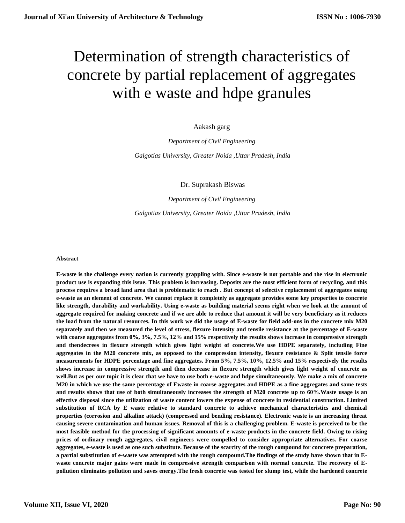# Determination of strength characteristics of concrete by partial replacement of aggregates with e waste and hdpe granules

Aakash garg

*Department of Civil Engineering Galgotias University, Greater Noida ,Uttar Pradesh, India*

Dr. Suprakash Biswas

*Department of Civil Engineering Galgotias University, Greater Noida ,Uttar Pradesh, India*

#### **Abstract**

**E-waste is the challenge every nation is currently grappling with. Since e-waste is not portable and the rise in electronic product use is expanding this issue. This problem is increasing. Deposits are the most efficient form of recycling, and this process requires a broad land area that is problematic to reach . But concept of selective replacement of aggregates using e-waste as an element of concrete. We cannot replace it completely as aggregate provides some key properties to concrete like strength, durability and workability. Using e-waste as building material seems right when we look at the amount of aggregate required for making concrete and if we are able to reduce that amount it will be very beneficiary as it reduces the load from the natural resources. In this work we did the usage of E-waste for field add-ons in the concrete mix M20 separately and then we measured the level of stress, flexure intensity and tensile resistance at the percentage of E-waste with coarse aggregates from 0%, 3%, 7.5%, 12% and 15% respectively the results shows increase in compressive strength and thendecrees in flexure strength which gives light weight of concrete.We use HDPE separately, including Fine aggregates in the M20 concrete mix, as opposed to the compression intensity, flexure resistance & Split tensile force measurements for HDPE percentage and fine aggregates. From 5%, 7.5%, 10%, 12.5% and 15% respectively the results shows increase in compressive strength and then decrease in flexure strength which gives light weight of concrete as well.But as per our topic it is clear that we have to use both e-waste and hdpe simultaneously. We make a mix of concrete M20 in which we use the same percentage of Ewaste in coarse aggregates and HDPE as a fine aggregates and same tests and results shows that use of both simultaneously increases the strength of M20 concrete up to 60%.Waste usage is an effective disposal since the utilization of waste content lowers the expense of concrete in residential construction. Limited substitution of RCA by E waste relative to standard concrete to achieve mechanical characteristics and chemical properties (corrosion and alkaline attack) (compressed and bending resistance). Electronic waste is an increasing threat causing severe contamination and human issues. Removal of this is a challenging problem. E-waste is perceived to be the most feasible method for the processing of significant amounts of e-waste products in the concrete field. Owing to rising prices of ordinary rough aggregates, civil engineers were compelled to consider appropriate alternatives. For coarse aggregates, e-waste is used as one such substitute. Because of the scarcity of the rough compound for concrete preparation, a partial substitution of e-waste was attempted with the rough compound.The findings of the study have shown that in Ewaste concrete major gains were made in compressive strength comparison with normal concrete. The recovery of Epollution eliminates pollution and saves energy.The fresh concrete was tested for slump test, while the hardened concrete**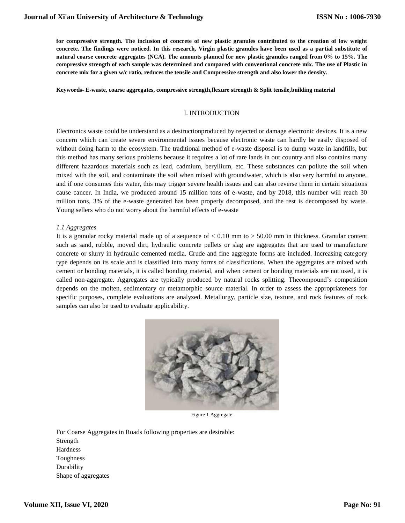**for compressive strength. The inclusion of concrete of new plastic granules contributed to the creation of low weight concrete. The findings were noticed. In this research, Virgin plastic granules have been used as a partial substitute of natural coarse concrete aggregates (NCA). The amounts planned for new plastic granules ranged from 0% to 15%. The compressive strength of each sample was determined and compared with conventional concrete mix. The use of Plastic in concrete mix for a given w/c ratio, reduces the tensile and Compressive strength and also lower the density.**

#### **Keywords- E-waste, coarse aggregates, compressive strength,flexure strength & Split tensile,building material**

#### I. INTRODUCTION

Electronics waste could be understand as a destructionproduced by rejected or damage electronic devices. It is a new concern which can create severe environmental issues because electronic waste can hardly be easily disposed of without doing harm to the ecosystem. The traditional method of e-waste disposal is to dump waste in landfills, but this method has many serious problems because it requires a lot of rare lands in our country and also contains many different hazardous materials such as lead, cadmium, beryllium, etc. These substances can pollute the soil when mixed with the soil, and contaminate the soil when mixed with groundwater, which is also very harmful to anyone, and if one consumes this water, this may trigger severe health issues and can also reverse them in certain situations cause cancer. In India, we produced around 15 million tons of e-waste, and by 2018, this number will reach 30 million tons, 3% of the e-waste generated has been properly decomposed, and the rest is decomposed by waste. Young sellers who do not worry about the harmful effects of e-waste

#### *1.1 Aggregates*

It is a granular rocky material made up of a sequence of < 0.10 mm to > 50.00 mm in thickness. Granular content such as sand, rubble, moved dirt, hydraulic concrete pellets or slag are aggregates that are used to manufacture concrete or slurry in hydraulic cemented media. Crude and fine aggregate forms are included. Increasing category type depends on its scale and is classified into many forms of classifications. When the aggregates are mixed with cement or bonding materials, it is called bonding material, and when cement or bonding materials are not used, it is called non-aggregate. Aggregates are typically produced by natural rocks splitting. Thecompound's composition depends on the molten, sedimentary or metamorphic source material. In order to assess the appropriateness for specific purposes, complete evaluations are analyzed. Metallurgy, particle size, texture, and rock features of rock samples can also be used to evaluate applicability.



Figure 1 Aggregate

For Coarse Aggregates in Roads following properties are desirable: Strength Hardness Toughness **Durability** Shape of aggregates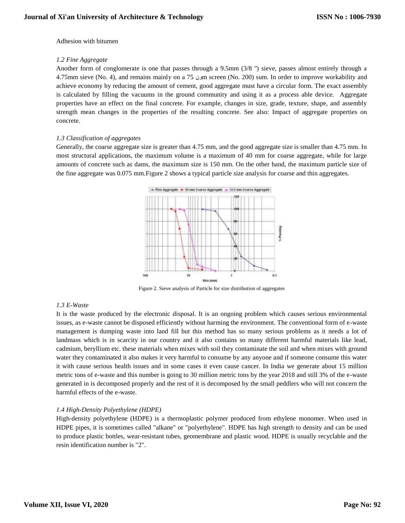#### Adhesion with bitumen

#### *1.2 Fine Aggregate*

Another form of conglomerate is one that passes through a 9.5mm (3/8 '') sieve, passes almost entirely through a 4.75mm sieve (No. 4), and remains mainly on a 75 ونm screen (No. 200) sum. In order to improve workability and achieve economy by reducing the amount of cement, good aggregate must have a circular form. The exact assembly is calculated by filling the vacuums in the ground community and using it as a process able device. Aggregate properties have an effect on the final concrete. For example, changes in size, grade, texture, shape, and assembly strength mean changes in the properties of the resulting concrete. See also: Impact of aggregate properties on concrete.

## *1.3 Classification of aggregates*

Generally, the coarse aggregate size is greater than 4.75 mm, and the good aggregate size is smaller than 4.75 mm. In most structural applications, the maximum volume is a maximum of 40 mm for coarse aggregate, while for large amounts of concrete such as dams, the maximum size is 150 mm. On the other hand, the maximum particle size of the fine aggregate was 0.075 mm.Figure 2 shows a typical particle size analysis for coarse and thin aggregates.



Figure 2. Sieve analysis of Particle for size distribution of aggregates

## *1.3 E-Waste*

It is the waste produced by the electronic disposal. It is an ongoing problem which causes serious environmental issues, as e-waste cannot be disposed efficiently without harming the environment. The conventional form of e-waste management is dumping waste into land fill but this method has so many serious problems as it needs a lot of landmass which is in scarcity in our country and it also contains so many different harmful materials like lead, cadmium, beryllium etc. these materials when mixes with soil they contaminate the soil and when mixes with ground water they contaminated it also makes it very harmful to consume by any anyone and if someone consume this water it with cause serious health issues and in some cases it even cause cancer. In India we generate about 15 million metric tons of e-waste and this number is going to 30 million metric tons by the year 2018 and still 3% of the e-waste generated in is decomposed properly and the rest of it is decomposed by the small peddlers who will not concern the harmful effects of the e-waste.

# *1.4 High-Density Polyethylene (HDPE)*

High-density polyethylene (HDPE) is a thermoplastic polymer produced from ethylene monomer. When used in HDPE pipes, it is sometimes called "alkane" or "polyethylene". HDPE has high strength to density and can be used to produce plastic bottles, wear-resistant tubes, geomembrane and plastic wood. HDPE is usually recyclable and the resin identification number is "2".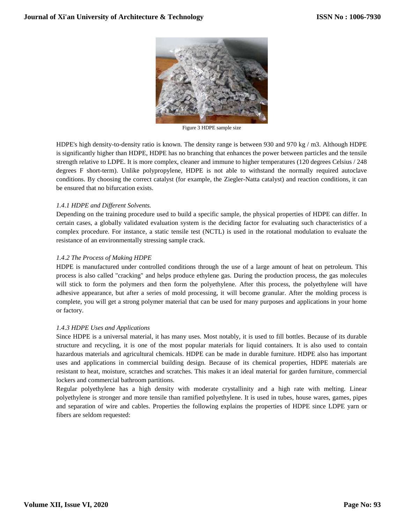

Figure 3 HDPE sample size

HDPE's high density-to-density ratio is known. The density range is between 930 and 970 kg / m3. Although HDPE is significantly higher than HDPE, HDPE has no branching that enhances the power between particles and the tensile strength relative to LDPE. It is more complex, cleaner and immune to higher temperatures (120 degrees Celsius / 248 degrees F short-term). Unlike polypropylene, HDPE is not able to withstand the normally required autoclave conditions. By choosing the correct catalyst (for example, the Ziegler-Natta catalyst) and reaction conditions, it can be ensured that no bifurcation exists.

# *1.4.1 HDPE and Different Solvents.*

Depending on the training procedure used to build a specific sample, the physical properties of HDPE can differ. In certain cases, a globally validated evaluation system is the deciding factor for evaluating such characteristics of a complex procedure. For instance, a static tensile test (NCTL) is used in the rotational modulation to evaluate the resistance of an environmentally stressing sample crack.

# *1.4.2 The Process of Making HDPE*

HDPE is manufactured under controlled conditions through the use of a large amount of heat on petroleum. This process is also called "cracking" and helps produce ethylene gas. During the production process, the gas molecules will stick to form the polymers and then form the polyethylene. After this process, the polyethylene will have adhesive appearance, but after a series of mold processing, it will become granular. After the molding process is complete, you will get a strong polymer material that can be used for many purposes and applications in your home or factory.

## *1.4.3 HDPE Uses and Applications*

Since HDPE is a universal material, it has many uses. Most notably, it is used to fill bottles. Because of its durable structure and recycling, it is one of the most popular materials for liquid containers. It is also used to contain hazardous materials and agricultural chemicals. HDPE can be made in durable furniture. HDPE also has important uses and applications in commercial building design. Because of its chemical properties, HDPE materials are resistant to heat, moisture, scratches and scratches. This makes it an ideal material for garden furniture, commercial lockers and commercial bathroom partitions.

Regular polyethylene has a high density with moderate crystallinity and a high rate with melting. Linear polyethylene is stronger and more tensile than ramified polyethylene. It is used in tubes, house wares, games, pipes and separation of wire and cables. Properties the following explains the properties of HDPE since LDPE yarn or fibers are seldom requested: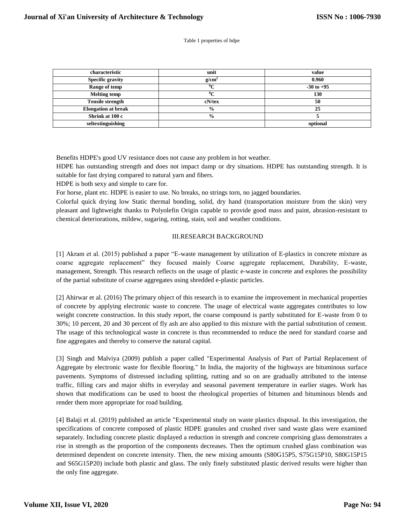#### Table 1 properties of hdpe

| characteristic             | unit          | value          |
|----------------------------|---------------|----------------|
| <b>Specific gravity</b>    | $g/cm^2$      | 0.960          |
| Range of temp              | $0\sim$       | $-30$ to $+95$ |
| <b>Melting temp</b>        | $0\sim$       | 130            |
| <b>Tensile strength</b>    | $cN$ /tex     | 50             |
| <b>Elongation at break</b> | $\frac{6}{9}$ | 25             |
| Shrink at 100 c            | $\frac{6}{9}$ |                |
| seltextinguishing          |               | optional       |

Benefits HDPE's good UV resistance does not cause any problem in hot weather.

HDPE has outstanding strength and does not impact damp or dry situations. HDPE has outstanding strength. It is suitable for fast drying compared to natural yarn and fibers.

HDPE is both sexy and simple to care for.

For horse, plant etc. HDPE is easier to use. No breaks, no strings torn, no jagged boundaries.

Colorful quick drying low Static thermal bonding, solid, dry hand (transportation moisture from the skin) very pleasant and lightweight thanks to Polyolefin Origin capable to provide good mass and paint, abrasion-resistant to chemical deteriorations, mildew, sugaring, rotting, stain, soil and weather conditions.

#### III.RESEARCH BACKGROUND

[1] Akram et al. (2015) published a paper "E-waste management by utilization of E-plastics in concrete mixture as coarse aggregate replacement" they focused mainly Coarse aggregate replacement, Durability, E-waste, management, Strength. This research reflects on the usage of plastic e-waste in concrete and explores the possibility of the partial substitute of coarse aggregates using shredded e-plastic particles.

[2] Ahirwar et al. (2016) The primary object of this research is to examine the improvement in mechanical properties of concrete by applying electronic waste to concrete. The usage of electrical waste aggregates contributes to low weight concrete construction. In this study report, the coarse compound is partly substituted for E-waste from 0 to 30%; 10 percent, 20 and 30 percent of fly ash are also applied to this mixture with the partial substitution of cement. The usage of this technological waste in concrete is thus recommended to reduce the need for standard coarse and fine aggregates and thereby to conserve the natural capital.

[3] Singh and Malviya (2009) publish a paper called "Experimental Analysis of Part of Partial Replacement of Aggregate by electronic waste for flexible flooring." In India, the majority of the highways are bituminous surface pavements. Symptoms of distressed including splitting, rutting and so on are gradually attributed to the intense traffic, filling cars and major shifts in everyday and seasonal pavement temperature in earlier stages. Work has shown that modifications can be used to boost the rheological properties of bitumen and bituminous blends and render them more appropriate for road building.

[4] Balaji et al. (2019) published an article "Experimental study on waste plastics disposal. In this investigation, the specifications of concrete composed of plastic HDPE granules and crushed river sand waste glass were examined separately. Including concrete plastic displayed a reduction in strength and concrete comprising glass demonstrates a rise in strength as the proportion of the components decreases. Then the optimum crushed glass combination was determined dependent on concrete intensity. Then, the new mixing amounts (S80G15P5, S75G15P10, S80G15P15 and S65G15P20) include both plastic and glass. The only finely substituted plastic derived results were higher than the only fine aggregate.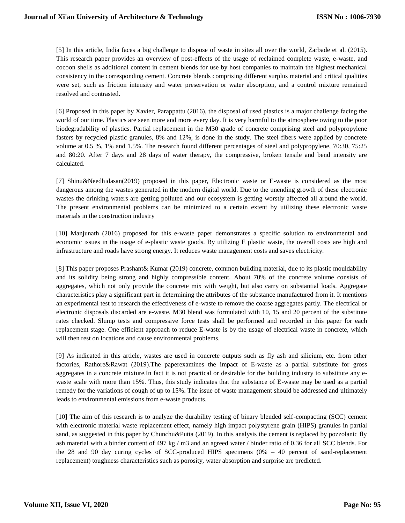[5] In this article, India faces a big challenge to dispose of waste in sites all over the world, Zarbade et al. (2015). This research paper provides an overview of post-effects of the usage of reclaimed complete waste, e-waste, and cocoon shells as additional content in cement blends for use by host companies to maintain the highest mechanical consistency in the corresponding cement. Concrete blends comprising different surplus material and critical qualities were set, such as friction intensity and water preservation or water absorption, and a control mixture remained resolved and contrasted.

[6] Proposed in this paper by Xavier, Parappattu (2016), the disposal of used plastics is a major challenge facing the world of our time. Plastics are seen more and more every day. It is very harmful to the atmosphere owing to the poor biodegradability of plastics. Partial replacement in the M30 grade of concrete comprising steel and polypropylene fasters by recycled plastic granules, 8% and 12%, is done in the study. The steel fibers were applied by concrete volume at 0.5 %, 1% and 1.5%. The research found different percentages of steel and polypropylene, 70:30, 75:25 and 80:20. After 7 days and 28 days of water therapy, the compressive, broken tensile and bend intensity are calculated.

[7] Shinu&Needhidasan(2019) proposed in this paper, Electronic waste or E-waste is considered as the most dangerous among the wastes generated in the modern digital world. Due to the unending growth of these electronic wastes the drinking waters are getting polluted and our ecosystem is getting worstly affected all around the world. The present environmental problems can be minimized to a certain extent by utilizing these electronic waste materials in the construction industry

[10] Manjunath (2016) proposed for this e-waste paper demonstrates a specific solution to environmental and economic issues in the usage of e-plastic waste goods. By utilizing E plastic waste, the overall costs are high and infrastructure and roads have strong energy. It reduces waste management costs and saves electricity.

[8] This paper proposes Prashant& Kumar (2019) concrete, common building material, due to its plastic mouldability and its solidity being strong and highly compressible content. About 70% of the concrete volume consists of aggregates, which not only provide the concrete mix with weight, but also carry on substantial loads. Aggregate characteristics play a significant part in determining the attributes of the substance manufactured from it. It mentions an experimental test to research the effectiveness of e-waste to remove the coarse aggregates partly. The electrical or electronic disposals discarded are e-waste. M30 blend was formulated with 10, 15 and 20 percent of the substitute rates checked. Slump tests and compressive force tests shall be performed and recorded in this paper for each replacement stage. One efficient approach to reduce E-waste is by the usage of electrical waste in concrete, which will then rest on locations and cause environmental problems.

[9] As indicated in this article, wastes are used in concrete outputs such as fly ash and silicium, etc. from other factories, Rathore&Rawat (2019).The paperexamines the impact of E-waste as a partial substitute for gross aggregates in a concrete mixture.In fact it is not practical or desirable for the building industry to substitute any ewaste scale with more than 15%. Thus, this study indicates that the substance of E-waste may be used as a partial remedy for the variations of cough of up to 15%. The issue of waste management should be addressed and ultimately leads to environmental emissions from e-waste products.

[10] The aim of this research is to analyze the durability testing of binary blended self-compacting (SCC) cement with electronic material waste replacement effect, namely high impact polystyrene grain (HIPS) granules in partial sand, as suggested in this paper by Chunchu&Putta (2019). In this analysis the cement is replaced by pozzolanic fly ash material with a binder content of 497 kg / m3 and an agreed water / binder ratio of 0.36 for all SCC blends. For the 28 and 90 day curing cycles of SCC-produced HIPS specimens (0% – 40 percent of sand-replacement replacement) toughness characteristics such as porosity, water absorption and surprise are predicted.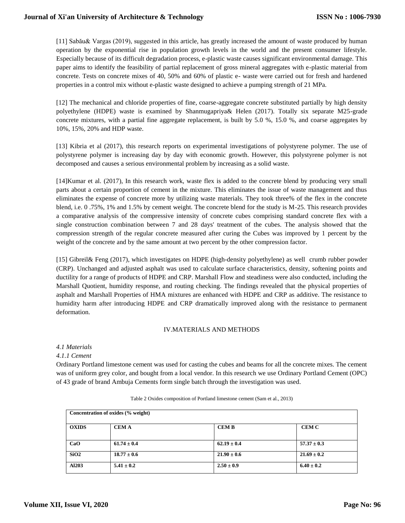[11] Sabău& Vargas (2019), suggested in this article, has greatly increased the amount of waste produced by human operation by the exponential rise in population growth levels in the world and the present consumer lifestyle. Especially because of its difficult degradation process, e-plastic waste causes significant environmental damage. This paper aims to identify the feasibility of partial replacement of gross mineral aggregates with e-plastic material from concrete. Tests on concrete mixes of 40, 50% and 60% of plastic e- waste were carried out for fresh and hardened properties in a control mix without e-plastic waste designed to achieve a pumping strength of 21 MPa.

[12] The mechanical and chloride properties of fine, coarse-aggregate concrete substituted partially by high density polyethylene (HDPE) waste is examined by Shanmugapriya& Helen (2017). Totally six separate M25-grade concrete mixtures, with a partial fine aggregate replacement, is built by 5.0 %, 15.0 %, and coarse aggregates by 10%, 15%, 20% and HDP waste.

[13] Kibria et al (2017), this research reports on experimental investigations of polystyrene polymer. The use of polystyrene polymer is increasing day by day with economic growth. However, this polystyrene polymer is not decomposed and causes a serious environmental problem by increasing as a solid waste.

[14]Kumar et al. (2017), In this research work, waste flex is added to the concrete blend by producing very small parts about a certain proportion of cement in the mixture. This eliminates the issue of waste management and thus eliminates the expense of concrete more by utilizing waste materials. They took three% of the flex in the concrete blend, i.e. 0 .75%, 1% and 1.5% by cement weight. The concrete blend for the study is M-25. This research provides a comparative analysis of the compressive intensity of concrete cubes comprising standard concrete flex with a single construction combination between 7 and 28 days' treatment of the cubes. The analysis showed that the compression strength of the regular concrete measured after curing the Cubes was improved by 1 percent by the weight of the concrete and by the same amount at two percent by the other compression factor.

[15] Gibreil& Feng (2017), which investigates on HDPE (high-density polyethylene) as well crumb rubber powder (CRP). Unchanged and adjusted asphalt was used to calculate surface characteristics, density, softening points and ductility for a range of products of HDPE and CRP. Marshall Flow and steadiness were also conducted, including the Marshall Quotient, humidity response, and routing checking. The findings revealed that the physical properties of asphalt and Marshall Properties of HMA mixtures are enhanced with HDPE and CRP as additive. The resistance to humidity harm after introducing HDPE and CRP dramatically improved along with the resistance to permanent deformation.

## IV.MATERIALS AND METHODS

#### *4.1 Materials*

*4.1.1 Cement*

Ordinary Portland limestone cement was used for casting the cubes and beams for all the concrete mixes. The cement was of uniform grey color, and bought from a local vendor. In this research we use Ordinary Portland Cement (OPC) of 43 grade of brand Ambuja Cements form single batch through the investigation was used.

| Concentration of oxides (% weight) |                 |                 |                 |  |  |
|------------------------------------|-----------------|-----------------|-----------------|--|--|
| <b>OXIDS</b>                       | <b>CEMA</b>     | <b>CEMB</b>     | <b>CEM C</b>    |  |  |
| CaO                                | $61.74 \pm 0.4$ | $62.19 \pm 0.4$ | $57.37 \pm 0.3$ |  |  |
| SiO2                               | $18.77 \pm 0.6$ | $21.90 \pm 0.6$ | $21.69 \pm 0.2$ |  |  |
| Al203                              | $5.41 \pm 0.2$  | $2.50 \pm 0.9$  | $6.40 \pm 0.2$  |  |  |

Table 2 Oxides composition of Portland limestone cement (Sam et al., 2013)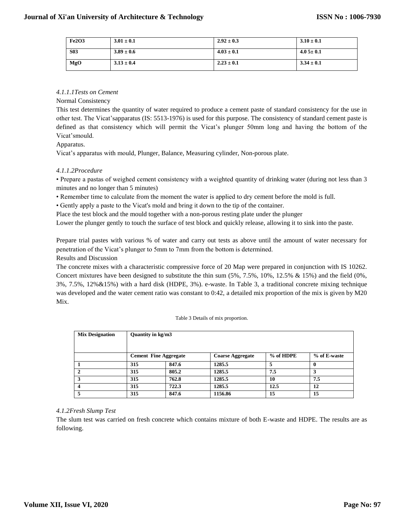| <b>Fe2O3</b> | $3.01 \pm 0.1$ | $2.92 \pm 0.3$ | $3.10 \pm 0.1$ |
|--------------|----------------|----------------|----------------|
| <b>S03</b>   | $3.89 \pm 0.6$ | $4.03 \pm 0.1$ | $4.05 \pm 0.1$ |
| MgO          | $3.13 \pm 0.4$ | $2.23 \pm 0.1$ | $3.34 \pm 0.1$ |

## *4.1.1.1Tests on Cement*

#### Normal Consistency

This test determines the quantity of water required to produce a cement paste of standard consistency for the use in other test. The Vicat'sapparatus (IS: 5513-1976) is used for this purpose. The consistency of standard cement paste is defined as that consistency which will permit the Vicat's plunger 50mm long and having the bottom of the Vicat'smould.

## Apparatus.

Vicat's apparatus with mould, Plunger, Balance, Measuring cylinder, Non-porous plate.

## *4.1.1.2Procedure*

• Prepare a pastas of weighed cement consistency with a weighted quantity of drinking water (during not less than 3 minutes and no longer than 5 minutes)

• Remember time to calculate from the moment the water is applied to dry cement before the mold is full.

• Gently apply a paste to the Vicat's mold and bring it down to the tip of the container.

Place the test block and the mould together with a non-porous resting plate under the plunger

Lower the plunger gently to touch the surface of test block and quickly release, allowing it to sink into the paste.

Prepare trial pastes with various % of water and carry out tests as above until the amount of water necessary for penetration of the Vicat's plunger to 5mm to 7mm from the bottom is determined. Results and Discussion

The concrete mixes with a characteristic compressive force of 20 Map were prepared in conjunction with IS 10262. Concert mixtures have been designed to substitute the thin sum (5%, 7.5%, 10%, 12.5% & 15%) and the field (0%, 3%, 7.5%, 12%&15%) with a hard disk (HDPE, 3%). e-waste. In Table 3, a traditional concrete mixing technique was developed and the water cement ratio was constant to 0:42, a detailed mix proportion of the mix is given by M20 Mix.

|  | Table 3 Details of mix proportion. |
|--|------------------------------------|
|  |                                    |

| <b>Mix Designation</b> | Quantity in kg/m3            |       |                         |           |              |  |
|------------------------|------------------------------|-------|-------------------------|-----------|--------------|--|
|                        |                              |       |                         |           |              |  |
|                        | <b>Cement Fine Aggregate</b> |       | <b>Coarse Aggregate</b> | % of HDPE | % of E-waste |  |
|                        | 315                          | 847.6 | 1285.5                  |           |              |  |
| $\mathbf{2}$           | 315                          | 805.2 | 1285.5                  | 7.5       |              |  |
| 3                      | 315                          | 762.8 | 1285.5                  | 10        | 7.5          |  |
|                        | 315                          | 722.3 | 1285.5                  | 12.5      | 12           |  |
|                        | 315                          | 847.6 | 1156.86                 | 15        | 15           |  |

## *4.1.2Fresh Slump Test*

The slum test was carried on fresh concrete which contains mixture of both E-waste and HDPE. The results are as following.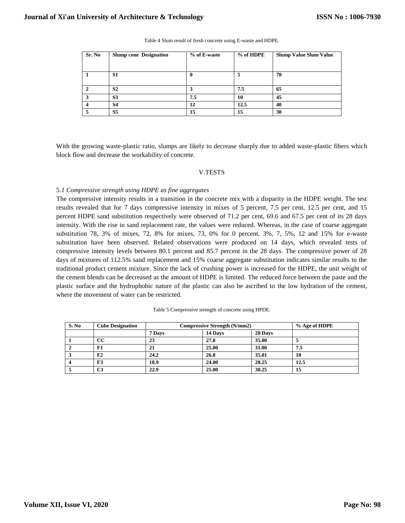| Sr. No | <b>Slump cone Designation</b> | % of E-waste | % of HDPE | <b>Slump Value Slum Value</b> |
|--------|-------------------------------|--------------|-----------|-------------------------------|
|        |                               |              |           |                               |
|        |                               |              |           |                               |
|        | S <sub>1</sub>                |              |           | 70                            |
|        |                               |              |           |                               |
|        | S <sub>2</sub>                |              | 7.5       | 65                            |
|        | S <sub>3</sub>                | 7.5          | 10        | 45                            |
|        | <b>S4</b>                     | 12           | 12.5      | 40                            |
|        | S <sub>5</sub>                | 15           | 15        | 30                            |

Table 4 Slum result of fresh concrete using E-waste and HDPE. .

With the growing waste-plastic ratio, slumps are likely to decrease sharply due to added waste-plastic fibers which block flow and decrease the workability of concrete.

#### V.TESTS

#### 5*.1 Compressive strength using HDPE as fine aggregates*

The compressive intensity results in a transition in the concrete mix with a disparity in the HDPE weight. The test results revealed that for 7 days compressive intensity in mixes of 5 percent, 7.5 per cent, 12.5 per cent, and 15 percent HDPE sand substitution respectively were observed of 71.2 per cent, 69.6 and 67.5 per cent of its 28 days intensity. With the rise in sand replacement rate, the values were reduced. Whereas, in the case of coarse aggregate substitution 78, 3% of mixes, 72, 8% for mixes, 73, 0% for 0 percent, 3%, 7, 5%, 12 and 15% for e-waste substitution have been observed. Related observations were produced on 14 days, which revealed tests of compressive intensity levels between 80.1 percent and 85.7 percent in the 28 days. The compressive power of 28 days of mixtures of 112.5% sand replacement and 15% coarse aggregate substitution indicates similar results to the traditional product cement mixture. Since the lack of crushing power is increased for the HDPE, the unit weight of the cement blends can be decreased as the amount of HDPE is limited. The reduced force between the paste and the plastic surface and the hydrophobic nature of the plastic can also be ascribed to the low hydration of the cement, where the movement of water can be restricted.

| Table 5 Compressive strength of concrete using HPDE. |  |
|------------------------------------------------------|--|
|                                                      |  |

| S. No | <b>Cube Designation</b> |        | <b>Compressive Strength (N/mm2)</b> |         |      |  |
|-------|-------------------------|--------|-------------------------------------|---------|------|--|
|       |                         | 7 Days | 14 Davs                             | 28 Days |      |  |
|       | CС                      | 23     | 27.8                                | 35.00   |      |  |
|       | F1                      | 21     | 25.00                               | 31.00   | 7.5  |  |
| J     | F2                      | 24.2   | 26.8                                | 35.01   | 10   |  |
|       | F3                      | 18.9   | 24.00                               | 28.25   | 12.5 |  |
|       | C1                      | 22.9   | 25.00                               | 30.25   | 15   |  |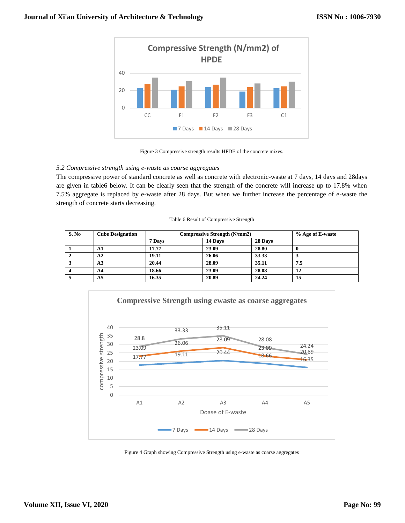



## *5.2 Compressive strength using e-waste as coarse aggregates*

The compressive power of standard concrete as well as concrete with electronic-waste at 7 days, 14 days and 28days are given in table6 below. It can be clearly seen that the strength of the concrete will increase up to 17.8% when 7.5% aggregate is replaced by e-waste after 28 days. But when we further increase the percentage of e-waste the strength of concrete starts decreasing.

#### Table 6 Result of Compressive Strength

| S. No | <b>Cube Designation</b> |        | <b>Compressive Strength (N/mm2)</b> | % Age of E-waste |     |
|-------|-------------------------|--------|-------------------------------------|------------------|-----|
|       |                         | 7 Days | 14 Days                             | 28 Days          |     |
|       | A1                      | 17.77  | 23.09                               | 28.80            |     |
|       | A2                      | 19.11  | 26.06                               | 33.33            |     |
|       | A <sub>3</sub>          | 20.44  | 28.09                               | 35.11            | 7.5 |
|       | A <sub>4</sub>          | 18.66  | 23.09                               | 28.08            | 12  |
|       | A5                      | 16.35  | 20.89                               | 24.24            | 15  |



Figure 4 Graph showing Compressive Strength using e-waste as coarse aggregates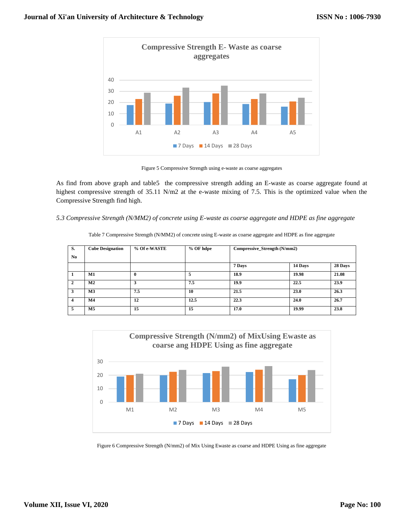

Figure 5 Compressive Strength using e-waste as coarse aggregates

As find from above graph and table5 the compressive strength adding an E-waste as coarse aggregate found at highest compressive strength of 35.11 N/m2 at the e-waste mixing of 7.5. This is the optimized value when the Compressive Strength find high.

## *5.3 Compressive Strength (N/MM2) of concrete using E-waste as coarse aggregate and HDPE as fine aggregate*

| S.                      | <b>Cube Designation</b> | % Of e-WASTE | % OF hdpe | Compressive_Strength (N/mm2) |         |         |
|-------------------------|-------------------------|--------------|-----------|------------------------------|---------|---------|
| N <sub>0</sub>          |                         |              |           |                              |         |         |
|                         |                         |              |           | 7 Days                       | 14 Days | 28 Days |
| 1                       | M1                      | $\mathbf 0$  | 5         | 18.9                         | 19.98   | 21.08   |
| $\overline{2}$          | M <sub>2</sub>          | 3            | 7.5       | 19.9                         | 22.5    | 23.9    |
| 3                       | M <sub>3</sub>          | 7.5          | 10        | 21.5                         | 23.0    | 26.3    |
| $\overline{\mathbf{4}}$ | $\mathbf{M}4$           | 12           | 12.5      | 22.3                         | 24.0    | 26.7    |
| 5                       | M5                      | 15           | 15        | 17.0                         | 19.99   | 23.8    |

Table 7 Compressive Strength (N/MM2) of concrete using E-waste as coarse aggregate and HDPE as fine aggregate



Figure 6 Compressive Strength (N/mm2) of Mix Using Ewaste as coarse and HDPE Using as fine aggregate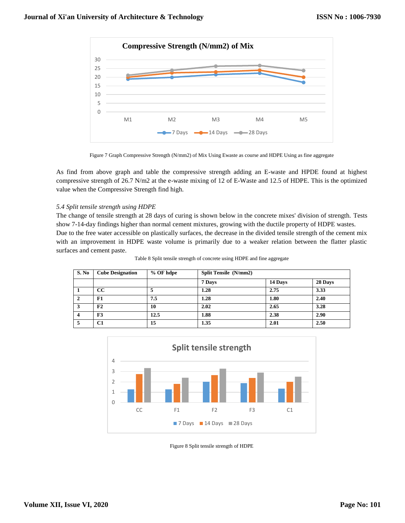

Figure 7 Graph Compressive Strength (N/mm2) of Mix Using Ewaste as course and HDPE Using as fine aggregate

As find from above graph and table the compressive strength adding an E-waste and HPDE found at highest compressive strength of 26.7 N/m2 at the e-waste mixing of 12 of E-Waste and 12.5 of HDPE. This is the optimized value when the Compressive Strength find high.

# *5.4 Split tensile strength using HDPE*

The change of tensile strength at 28 days of curing is shown below in the concrete mixes' division of strength. Tests show 7-14-day findings higher than normal cement mixtures, growing with the ductile property of HDPE wastes. Due to the free water accessible on plastically surfaces, the decrease in the divided tensile strength of the cement mix with an improvement in HDPE waste volume is primarily due to a weaker relation between the flatter plastic surfaces and cement paste.

| S. No | <b>Cube Designation</b> | $%$ OF hdpe | Split Tensile (N/mm2) |         |         |  |
|-------|-------------------------|-------------|-----------------------|---------|---------|--|
|       |                         |             | 7 Days                | 14 Days | 28 Days |  |
|       | CC                      |             | 1.28                  | 2.75    | 3.33    |  |
|       | F1                      | 7.5         | 1.28                  | 1.80    | 2.40    |  |
| 3     | F <sub>2</sub>          | 10          | 2.02                  | 2.65    | 3.28    |  |
|       | F3                      | 12.5        | 1.88                  | 2.38    | 2.90    |  |
|       | C1                      | 15          | 1.35                  | 2.01    | 2.50    |  |

Table 8 Split tensile strength of concrete using HDPE and fine aggregate



Figure 8 Split tensile strength of HDPE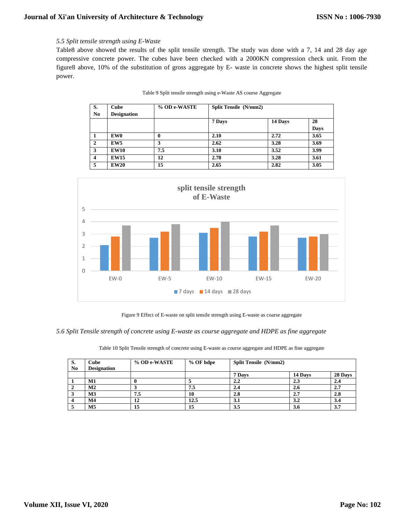## *5.5 Split tensile strength using E-Waste*

Table8 above showed the results of the split tensile strength. The study was done with a 7, 14 and 28 day age compressive concrete power. The cubes have been checked with a 2000KN compression check unit. From the figure8 above, 10% of the substitution of gross aggregate by E- waste in concrete shows the highest split tensile power.

| S.             | <b>Cube</b>        | % OD e-WASTE | Split Tensile (N/mm2) |         |      |
|----------------|--------------------|--------------|-----------------------|---------|------|
| N <sub>0</sub> | <b>Designation</b> |              |                       |         |      |
|                |                    |              | 7 Days                | 14 Days | 28   |
|                |                    |              |                       |         | Days |
|                | EW0                | 0            | 2.10                  | 2.72    | 3.65 |
| $\mathbf{2}$   | EW <sub>5</sub>    |              | 2.62                  | 3.28    | 3.69 |
| 3              | <b>EW10</b>        | 7.5          | 3.10                  | 3.52    | 3.99 |
| 4              | <b>EW15</b>        | 12           | 2.78                  | 3.28    | 3.61 |
| 5              | <b>EW20</b>        | 15           | 2.65                  | 2.82    | 3.05 |

|  |  |  |  | Table 9 Split tensile strength using e-Waste AS course Aggregate |
|--|--|--|--|------------------------------------------------------------------|
|  |  |  |  |                                                                  |



Figure 9 Effect of E-waste on split tensile strength using E-waste as coarse aggregate

*5.6 Split Tensile strength of concrete using E-waste as course aggregate and HDPE as fine aggregate*

Table 10 Split Tensile strength of concrete using E-waste as course aggregate and HDPE as fine aggregate

| S.<br>N <sub>0</sub> | Cube<br><b>Designation</b> | % OD e-WASTE | % OF hdpe | <b>Split Tensile</b> (N/mm2) |         |         |
|----------------------|----------------------------|--------------|-----------|------------------------------|---------|---------|
|                      |                            |              |           | 7 Davs                       | 14 Days | 28 Days |
|                      | M1                         |              |           | 2.2                          | 2.3     | 2.4     |
|                      | M <sub>2</sub>             |              | 7.5       | 2.4                          | 2.6     | 2.7     |
|                      | M <sub>3</sub>             | 7.5          | 10        | 2.8                          | 2.7     | 2.8     |
|                      | M <sub>4</sub>             | 12           | 12.5      | 3.1                          | 3.2     | 3.4     |
|                      | M <sub>5</sub>             | 15           | 15        | 3.5                          | 3.6     | 3.7     |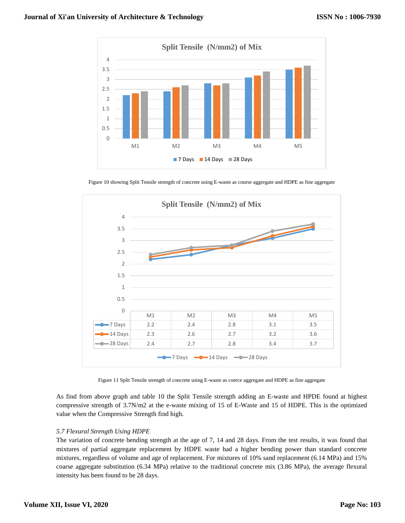

Figure 10 showing Split Tensile strength of concrete using E-waste as course aggregate and HDPE as fine aggregate



Figure 11 Split Tensile strength of concrete using E-waste as coerce aggregate and HDPE as fine aggregate

As find from above graph and table 10 the Split Tensile strength adding an E-waste and HPDE found at highest compressive strength of 3.7N/m2 at the e-waste mixing of 15 of E-Waste and 15 of HDPE. This is the optimized value when the Compressive Strength find high.

## *5.7 Flexural Strength Using HDPE*

The variation of concrete bending strength at the age of 7, 14 and 28 days. From the test results, it was found that mixtures of partial aggregate replacement by HDPE waste had a higher bending power than standard concrete mixtures, regardless of volume and age of replacement. For mixtures of 10% sand replacement (6.14 MPa) and 15% coarse aggregate substitution (6.34 MPa) relative to the traditional concrete mix (3.86 MPa), the average flexural intensity has been found to be 28 days.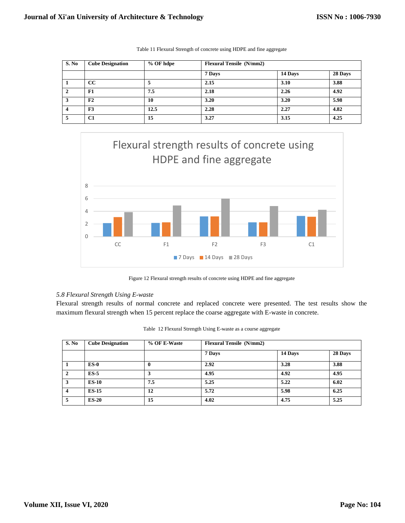| S. No | <b>Cube Designation</b> | % OF hdpe |        | <b>Flexural Tensile</b> (N/mm2) |         |  |  |  |
|-------|-------------------------|-----------|--------|---------------------------------|---------|--|--|--|
|       |                         |           | 7 Days | 14 Days                         | 28 Days |  |  |  |
|       | CC                      |           | 2.15   | 3.10                            | 3.88    |  |  |  |
| 2     | F1                      | 7.5       | 2.18   | 2.26                            | 4.92    |  |  |  |
| 3     | F2                      | 10        | 3.20   | 3.20                            | 5.98    |  |  |  |
|       | F <sub>3</sub>          | 12.5      | 2.28   | 2.27                            | 4.82    |  |  |  |
|       | C1                      | 15        | 3.27   | 3.15                            | 4.25    |  |  |  |

Table 11 Flexural Strength of concrete using HDPE and fine aggregate



Figure 12 Flexural strength results of concrete using HDPE and fine aggregate

## *5.8 Flexural Strength Using E-waste*

Flexural strength results of normal concrete and replaced concrete were presented. The test results show the maximum flexural strength when 15 percent replace the coarse aggregate with E-waste in concrete.

| S. No        | <b>Cube Designation</b> | % OF E-Waste | <b>Flexural Tensile</b> (N/mm2) |         |         |
|--------------|-------------------------|--------------|---------------------------------|---------|---------|
|              |                         |              | 7 Days                          | 14 Days | 28 Days |
|              | $ES-0$                  | 0            | 2.92                            | 3.28    | 3.88    |
| $\mathbf{2}$ | $ES-5$                  |              | 4.95                            | 4.92    | 4.95    |
| 3            | <b>ES-10</b>            | 7.5          | 5.25                            | 5.22    | 6.02    |
| 4            | <b>ES-15</b>            | 12           | 5.72                            | 5.98    | 6.25    |
| 5            | $ES-20$                 | 15           | 4.02                            | 4.75    | 5.25    |

| Table 12 Flexural Strength Using E-waste as a course aggregate |  |  |  |  |  |  |  |  |
|----------------------------------------------------------------|--|--|--|--|--|--|--|--|
|----------------------------------------------------------------|--|--|--|--|--|--|--|--|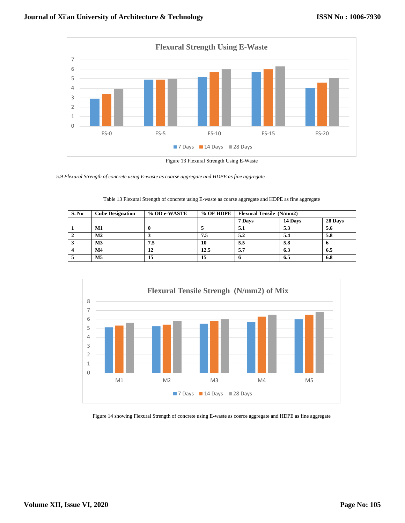

*5.9 Flexural Strength of concrete using E-waste as coarse aggregate and HDPE as fine aggregate*

Table 13 Flexural Strength of concrete using E-waste as coarse aggregate and HDPE as fine aggregate

| S. No | % OD e-WASTE<br><b>Cube Designation</b> |     | % OF HDPE | <b>Flexural Tensile</b> (N/mm2) |         |         |
|-------|-----------------------------------------|-----|-----------|---------------------------------|---------|---------|
|       |                                         |     |           | 7 Days                          | 14 Days | 28 Days |
|       | M1                                      |     |           | 5.1                             | 5.3     | 5.6     |
|       | $\mathbf{M2}$                           |     | 7.5       | 5.2                             | 5.4     | 5.8     |
|       | M <sub>3</sub>                          | 7.5 | 10        | 5.5                             | 5.8     |         |
|       | M <sub>4</sub>                          | 12  | 12.5      | 5.7                             | 6.3     | 6.5     |
|       | M <sub>5</sub>                          | 15  | 15        |                                 | 6.5     | 6.8     |



Figure 14 showing Flexural Strength of concrete using E-waste as coerce aggregate and HDPE as fine aggregate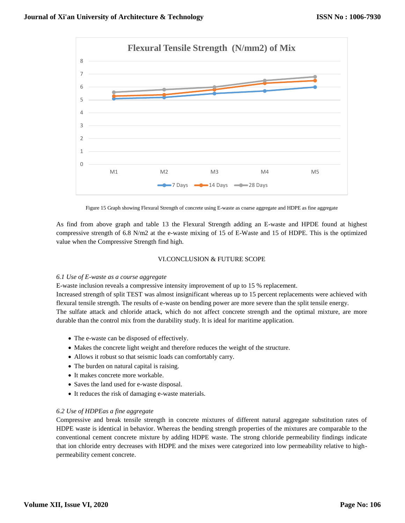

Figure 15 Graph showing Flexural Strength of concrete using E-waste as coarse aggregate and HDPE as fine aggregate

As find from above graph and table 13 the Flexural Strength adding an E-waste and HPDE found at highest compressive strength of 6.8 N/m2 at the e-waste mixing of 15 of E-Waste and 15 of HDPE. This is the optimized value when the Compressive Strength find high.

#### VI.CONCLUSION & FUTURE SCOPE

#### *6.1 Use of E-waste as a course aggregate*

E-waste inclusion reveals a compressive intensity improvement of up to 15 % replacement.

Increased strength of split TEST was almost insignificant whereas up to 15 percent replacements were achieved with flexural tensile strength. The results of e-waste on bending power are more severe than the split tensile energy.

The sulfate attack and chloride attack, which do not affect concrete strength and the optimal mixture, are more durable than the control mix from the durability study. It is ideal for maritime application.

- The e-waste can be disposed of effectively.
- Makes the concrete light weight and therefore reduces the weight of the structure.
- Allows it robust so that seismic loads can comfortably carry.
- The burden on natural capital is raising.
- It makes concrete more workable.
- Saves the land used for e-waste disposal.
- It reduces the risk of damaging e-waste materials.

#### *6.2 Use of HDPEas a fine aggregate*

Compressive and break tensile strength in concrete mixtures of different natural aggregate substitution rates of HDPE waste is identical in behavior. Whereas the bending strength properties of the mixtures are comparable to the conventional cement concrete mixture by adding HDPE waste. The strong chloride permeability findings indicate that ion chloride entry decreases with HDPE and the mixes were categorized into low permeability relative to highpermeability cement concrete.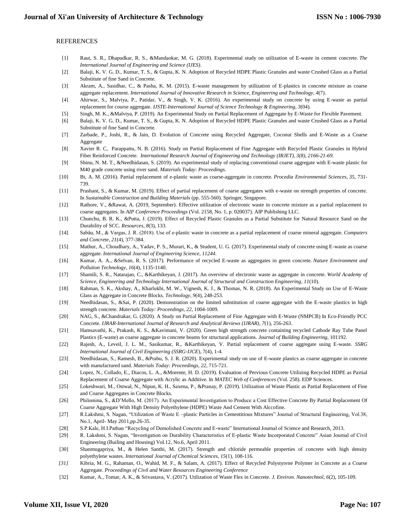#### REFERENCES

- [1] Raut, S. R., Dhapudkar, R. S., &Mandaokar, M. G. (2018). Experimental study on utilization of E-waste in cement concrete. *The International Journal of Engineering and Science (IJES)*.
- [2] Balaji, K. V. G. D., Kumar, T. S., & Gupta, K. N. Adoption of Recycled HDPE Plastic Granules and waste Crushed Glass as a Partial Substitute of fine Sand in Concrete.
- [3] Akram, A., Sasidhar, C., & Pasha, K. M. (2015). E-waste management by utilization of E-plastics in concrete mixture as coarse aggregate replacement. *International Journal of Innovative Research in Science, Engineering and Technology*, *4*(7).
- [4] Ahirwar, S., Malviya, P., Patidar, V., & Singh, V. K. (2016). An experimental study on concrete by using E-waste as partial replacement for course aggregate. *IJSTE-International Journal of Science Technology & Engineering*, *3*(04).
- [5] Singh, M. K., &Malviya, P. (2019). An Experimental Study on Partial Replacement of Aggregate by E-Waste for Flexible Pavement.
- [6] Balaji, K. V. G. D., Kumar, T. S., & Gupta, K. N. Adoption of Recycled HDPE Plastic Granules and waste Crushed Glass as a Partial Substitute of fine Sand in Concrete.
- [7] Zarbade, P., Joshi, R., & Jain, D. Evolution of Concrete using Recycled Aggregate, Coconut Shells and E-Waste as a Coarse Aggregate
- [8] Xavier R. C, Parappattu, N. B. (2016). Study on Partial Replacement of Fine Aggregate with Recycled Plastic Granules in Hybrid Fiber Reinforced Concrete. *International Research Journal of Engineering and Technology (IRJET), 3(8), 2166-21-69.*
- [9] Shinu, N. M. T., &Needhidasan, S. (2019). An experimental study of replacing conventional coarse aggregate with E-waste plastic for M40 grade concrete using river sand. *Materials Today: Proceedings*.
- [10] Bt, A. M. (2016). Partial replacement of e-plastic waste as coarse-aggregate in concrete. *Procedia Environmental Sciences*, *35*, 731- 739.
- [11] Prashant, S., & Kumar, M. (2019). Effect of partial replacement of coarse aggregates with e-waste on strength properties of concrete. In *Sustainable Construction and Building Materials* (pp. 555-560). Springer, Singapore.
- [12] Rathore, V., &Rawat, A. (2019, September). Effective utilization of electronic waste in concrete mixture as a partial replacement to coarse aggregates. In *AIP Conference Proceedings* (Vol. 2158, No. 1, p. 020037). AIP Publishing LLC.
- [13] Chunchu, B. R. K., &Putta, J. (2019). Effect of Recycled Plastic Granules as a Partial Substitute for Natural Resource Sand on the Durability of SCC. *Resources*, *8*(3), 133.
- [14] Sabău, M., & Vargas, J. R. (2018). Use of e-plastic waste in concrete as a partial replacement of coarse mineral aggregate. *Computers and Concrete*, *21*(4), 377-384.
- [15] Mathur, A., Choudhary, A., Yadav, P. S., Murari, K., & Student, U. G. (2017). Experimental study of concrete using E-waste as coarse aggregate. *International Journal of Engineering Science*, *11244*.
- [16] Kumar, A. A., &Selvan, R. S. (2017). Performance of recycled E-waste as aggregates in green concrete. *Nature Environment and Pollution Technology*, *16*(4), 1135-1140.
- [17] Shamili, S. R., Natarajan, C., &Karthikeyan, J. (2017). An overview of electronic waste as aggregate in concrete. *World Academy of Science, Engineering and Technology International Journal of Structural and Construction Engineering*, *11*(10).
- [18] Rahman, S. K., Akshay, A., Kharlukhi, M. W., Vignesh, K. J., & Thomas, N. R. (2018). An Experimental Study on Use of E-Waste Glass as Aggregate in Concrete Blocks. *Technology*, *9*(4), 248-253.
- [19] Needhidasan, S., &Sai, P. (2020). Demonstration on the limited substitution of coarse aggregate with the E-waste plastics in high strength concrete. *Materials Today: Proceedings*, *22*, 1004-1009.
- [20] NAG, S., &Chandrakar, G. (2020). A Study on Partial Replacement of Fine Aggregate with E-Waste (NMPCB) In Eco-Friendly PCC Concrete. *IJRAR-International Journal of Research and Analytical Reviews (IJRAR)*, *7*(1), 256-263.
- [21] Hamsavathi, K., Prakash, K. S., &Kavimani, V. (2020). Green high strength concrete containing recycled Cathode Ray Tube Panel Plastics (E-waste) as coarse aggregate in concrete beams for structural applications. *Journal of Building Engineering*, 101192.
- [22] Rajesh, A., Leveil, J. L. M., Sasikumar, R., &Karthikeyan, V. Partial replacement of coarse aggregate using E-waste. *SSRG International Journal of Civil Engineering (SSRG-IJCE*), 7(4), 1-4.
- [23] Needhidasan, S., Ramesh, B., &Prabu, S. J. R. (2020). Experimental study on use of E-waste plastics as coarse aggregate in concrete with manufactured sand. *Materials Today: Proceedings*, *22*, 715-721.
- [24] Lopez, N., Collado, E., Diacos, L. A., &Morente, H. D. (2019). Evaluation of Pervious Concrete Utilizing Recycled HDPE as Partial Replacement of Coarse Aggregate with Acrylic as Additive. In *MATEC Web of Conferences* (Vol. 258). EDP Sciences.
- [25] Lokeshwari, M., Ostwal, N., Nipun, K. H., Saxena, P., &Pranay, P. (2019). Utilization of Waste Plastic as Partial Replacement of Fine and Coarse Aggregates in Concrete Blocks.
- [26] Philomina, S., &D'Mello, M. (2017). An Experimental Investigation to Produce a Cost Effective Concrete By Partial Replacement Of Coarse Aggregate With High Density Polyethylene (HDPE) Waste And Cement With Alccofine.
- [27] R.Lakshmi, S. Nagan, "Utilization of Waste E –plastic Particles in Cementitious Mixtures" Journal of Structural Engineering, Vol.38, No.1, April- May 2011,pp.26-35.
- [28] S.P.Kale, H.I.Pathan "Recycling of Demolished Concrete and E-waste" International Journal of Science and Research, 2013.
- [29] R. Lakshmi, S. Nagan, "Investigation on Durability Characteristics of E-plastic Waste Incorporated Concrete" Asian Journal of Civil Engineering (Builing and Housing) Vol.12, No.6, April 2011.
- [30] Shanmugapriya, M., & Helen Santhi, M. (2017). Strength and chloride permeable properties of concrete with high density polyethylene wastes. *International Journal of Chemical Sciences*, *15*(1), 108-116.
- *[31]* Kibria, M. G., Rahaman, O., Wahid, M. F., & Salam, A. (2017). Effect of Recycled Polystyrene Polymer in Concrete as a Coarse Aggregate. *Proceedings of Civil and Water Resources Engineering Conference*
- [32] Kumar, A., Tomar, A. K., & Srivastava, V. (2017). Utilization of Waste Flex in Concrete. *J. Environ. Nanotechnol*, *6*(2), 105-109.